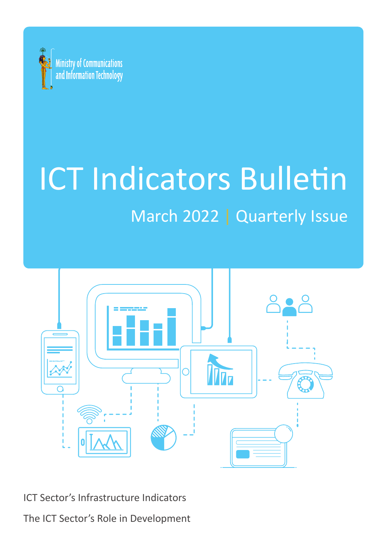

# **ICT Indicators Bulletin** March 2022 | Quarterly Issue



ICT Sector's Infrastructure Indicators

The ICT Sector's Role in Development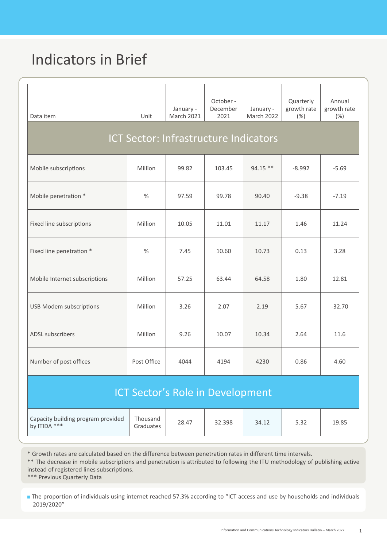## **Indicators in Brief**

| Data item                                          | Unit                  | January -<br><b>March 2021</b> | October -<br>December<br>2021 | January -<br>March 2022 | Quarterly<br>growth rate<br>(%) | Annual<br>growth rate<br>$(\% )$ |
|----------------------------------------------------|-----------------------|--------------------------------|-------------------------------|-------------------------|---------------------------------|----------------------------------|
| <b>ICT Sector: Infrastructure Indicators</b>       |                       |                                |                               |                         |                                 |                                  |
| Mobile subscriptions                               | Million               | 99.82                          | 103.45                        | 94.15 **                | $-8.992$                        | $-5.69$                          |
| Mobile penetration *                               | $\%$                  | 97.59                          | 99.78                         | 90.40                   | $-9.38$                         | $-7.19$                          |
| Fixed line subscriptions                           | Million               | 10.05                          | 11.01                         | 11.17                   | 1.46                            | 11.24                            |
| Fixed line penetration *                           | $\%$                  | 7.45                           | 10.60                         | 10.73                   | 0.13                            | 3.28                             |
| Mobile Internet subscriptions                      | Million               | 57.25                          | 63.44                         | 64.58                   | 1.80                            | 12.81                            |
| <b>USB Modem subscriptions</b>                     | Million               | 3.26                           | 2.07                          | 2.19                    | 5.67                            | $-32.70$                         |
| ADSL subscribers                                   | Million               | 9.26                           | 10.07                         | 10.34                   | 2.64                            | 11.6                             |
| Number of post offices                             | Post Office           | 4044                           | 4194                          | 4230                    | 0.86                            | 4.60                             |
| <b>ICT Sector's Role in Development</b>            |                       |                                |                               |                         |                                 |                                  |
| Capacity building program provided<br>by ITIDA *** | Thousand<br>Graduates | 28.47                          | 32.398                        | 34.12                   | 5.32                            | 19.85                            |

\* Growth rates are calculated based on the difference between penetration rates in different time intervals.

\*\* The decrease in mobile subscriptions and penetration is attributed to following the ITU methodology of publishing active instead of registered lines subscriptions.

\*\*\* Previous Quarterly Data

The proportion of individuals using internet reached 57.3% according to "ICT access and use by households and individuals "2019/2020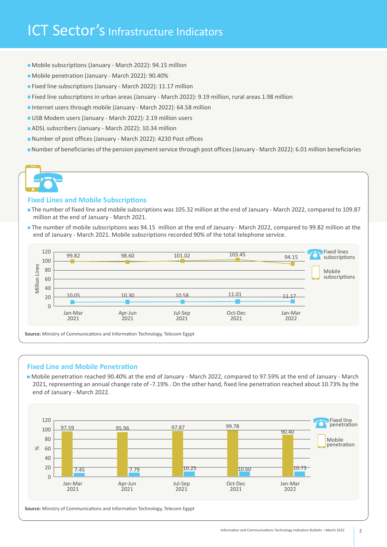## ICT Sector's Infrastructure Indicators

- Mobile subscriptions (January March 2022): 94.15 million
- Mobile penetration (January March 2022): 90.40%
- Fixed line subscriptions (January March 2022): 11.17 million
- **Fixed line subscriptions in urban areas (January March 2022): 9.19 million, rural areas 1.98 million**
- Internet users through mobile (January March 2022): 64.58 million
- USB Modem users (January March 2022): 2.19 million users
- ADSL subscribers (January March 2022): 10.34 million
- Number of post offices (January March 2022): 4230 Post offices
- University Mumber of beneficiaries of the pension payment service through post offices (January March 2022): 6.01 million beneficiaries

#### **Fixed Lines and Mobile Subscriptions**

- The number of fixed line and mobile subscriptions was 105.32 million at the end of January March 2022, compared to 109.87 million at the end of January - March 2021.
- The number of mobile subscriptions was 94.15 million at the end of January March 2022, compared to 99.82 million at the end of January - March 2021. Mobile subscriptions recorded 90% of the total telephone service.



#### **Fixed Line and Mobile Penetration**

Mobile penetration reached 90.40% at the end of January - March 2022, compared to 97.59% at the end of January - March 2021, representing an annual change rate of -7.19% . On the other hand, fixed line penetration reached about 10.73% by the end of January - March 2022.



Source: Ministry of Communications and Information Technology, Telecom Egypt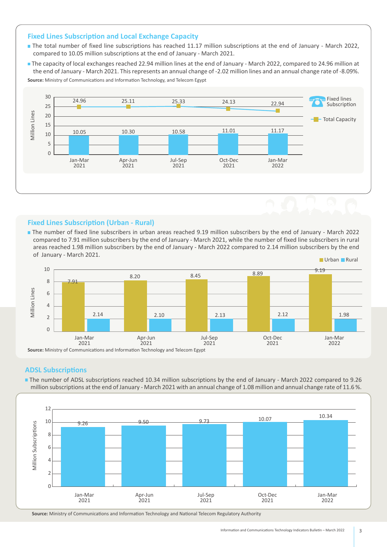#### **Fixed Lines Subscription and Local Exchange Capacity**

- The total number of fixed line subscriptions has reached 11.17 million subscriptions at the end of January March 2022, compared to 10.05 million subscriptions at the end of January - March 2021.
- The capacity of local exchanges reached 22.94 million lines at the end of January March 2022, compared to 24.96 million at the end of January - March 2021. This represents an annual change of -2.02 million lines and an annual change rate of -8.09%. **Source:** Ministry of Communications and Information Technology, and Telecom Egypt



#### **Fixed Lines Subscription (Urban - Rural)**

The number of fixed line subscribers in urban areas reached 9.19 million subscribers by the end of January - March 2022 compared to 7.91 million subscribers by the end of January - March 2021, while the number of fixed line subscribers in rural areas reached 1.98 million subscribers by the end of January - March 2022 compared to 2.14 million subscribers by the end of January - March 2021.



#### **ADSL Subscriptions**

The number of ADSL subscriptions reached 10.34 million subscriptions by the end of January - March 2022 compared to 9.26 million subscriptions at the end of January - March 2021 with an annual change of 1.08 million and annual change rate of 11.6%.



Source: Ministry of Communications and Information Technology and National Telecom Regulatory Authority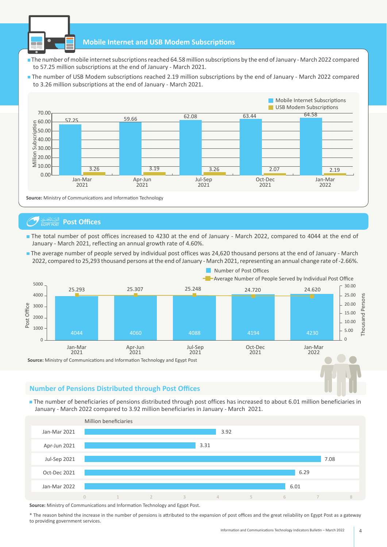

#### **Mobile Internet and USB Modem Subscriptions**

- The number of mobile internet subscriptions reached 64.58 million subscriptions by the end of January March 2022 compared to 57.25 million subscriptions at the end of January - March 2021.
- The number of USB Modem subscriptions reached 2.19 million subscriptions by the end of January March 2022 compared to 3.26 million subscriptions at the end of January - March 2021.



### **Offices** البَّكِيْلِلْهُمْئِ **Post Offices**

- The total number of post offices increased to 4230 at the end of January March 2022, compared to 4044 at the end of January - March 2021, reflecting an annual growth rate of 4.60%.
- The average number of people served by individual post offices was 24,620 thousand persons at the end of January March 2022, compared to 25,293 thousand persons at the end of January - March 2021, representing an annual change rate of -2.66%.



#### **Number of Pensions Distributed through Post Offices**

The number of beneficiaries of pensions distributed through post offices has increased to about 6.01 million beneficiaries in January - March 2022 compared to 3.92 million beneficiaries in January - March 2021.



**Source:** Ministry of Communications and Information Technology and Egypt Post.

\* The reason behind the increase in the number of pensions is attributed to the expansion of post offices and the great reliability on Egypt Post as a gateway to providing government services.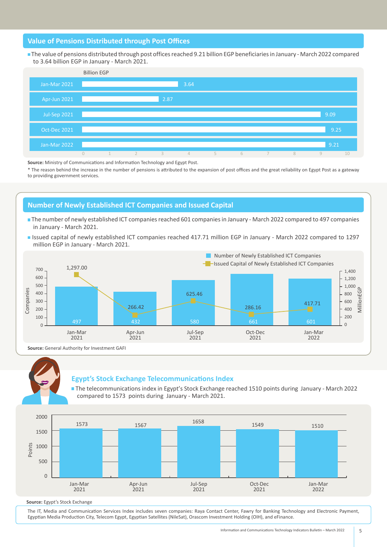#### **Value of Pensions Distributed through Post Offices**

The value of pensions distributed through post offices reached 9.21 billion EGP beneficiaries in January - March 2022 compared to 3.64 billion EGP in January - March 2021.



**Source:** Ministry of Communications and Information Technology and Egypt Post.

<sup>\*</sup> The reason behind the increase in the number of pensions is attributed to the expansion of post offices and the great reliability on Egypt Post as a gateway to providing government services.

#### **Number of Newly Established ICT Companies and Issued Capital**

- The number of newly established ICT companies reached 601 companies in January March 2022 compared to 497 companies in January - March 2021.
- Issued capital of newly established ICT companies reached 417.71 million EGP in January March 2022 compared to 1297 million EGP in January - March 2021.



Source: General Authority for Investment GAFI



#### **Egypt's Stock Exchange Telecommunications Index**

The telecommunications index in Egypt's Stock Exchange reached 1510 points during January - March 2022 compared to 1573 points during January - March 2021.



Source: Egypt's Stock Exchange

The IT, Media and Communication Services Index includes seven companies: Raya Contact Center, Fawry for Banking Technology and Electronic Payment, Egyptian Media Production City, Telecom Egypt, Egyptian Satellites (NileSat), Orascom Investment Holding (OIH), and eFinance.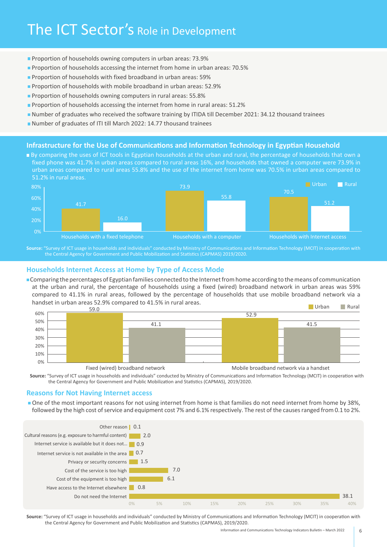- **Proportion of households owning computers in urban areas: 73.9%**
- **Proportion of households accessing the internet from home in urban areas: 70.5%**
- $\blacksquare$  Proportion of households with fixed broadband in urban areas: 59%
- **Proportion of households with mobile broadband in urban areas: 52.9%**
- **Proportion of households owning computers in rural areas: 55.8%**
- **Proportion of households accessing the internet from home in rural areas: 51.2%**
- Number of graduates who received the software training by ITIDA till December 2021: 34.12 thousand trainees
- Number of graduates of ITI till March 2022: 14.77 thousand trainees

#### **Infrastructure for the Use of Communications and Information Technology in Egyptian Household**

**By comparing the uses of ICT tools in Egyptian households at the urban and rural, the percentage of households that own a** fixed phone was 41.7% in urban areas compared to rural areas 16%, and households that owned a computer were 73.9% in urban areas compared to rural areas 55.8% and the use of the internet from home was 70.5% in urban areas compared to 51.2% in rural areas.



Source: "Survey of ICT usage in households and individuals" conducted by Ministry of Communications and Information Technology (MCIT) in cooperation with the Central Agency for Government and Public Mobilization and Statistics (CAPMAS) 2019/2020.

#### **Households Internet Access at Home by Type of Access Mode**

**Comparing the percentages of Egyptian families connected to the Internet from home according to the means of communication** at the urban and rural, the percentage of households using a fixed (wired) broadband network in urban areas was 59% compared to 41.1% in rural areas, followed by the percentage of households that use mobile broadband network via a handset in urban areas 52.9% compared to 41.5% in rural areas. **Rural** Urban **Rural** 



Fixed (wired) broadband network broadband metwork broadband network via a handset

Source: "Survey of ICT usage in households and individuals" conducted by Ministry of Communications and Information Technology (MCIT) in cooperation with the Central Agency for Government and Public Mobilization and Statistics (CAPMAS), 2019/2020.

#### **Reasons for Not Having Internet access**

One of the most important reasons for not using internet from home is that families do not need internet from home by 38%, followed by the high cost of service and equipment cost 7% and 6.1% respectively. The rest of the causes ranged from 0.1 to 2%.



Source: "Survey of ICT usage in households and individuals" conducted by Ministry of Communications and Information Technology (MCIT) in cooperation with the Central Agency for Government and Public Mobilization and Statistics (CAPMAS), 2019/2020.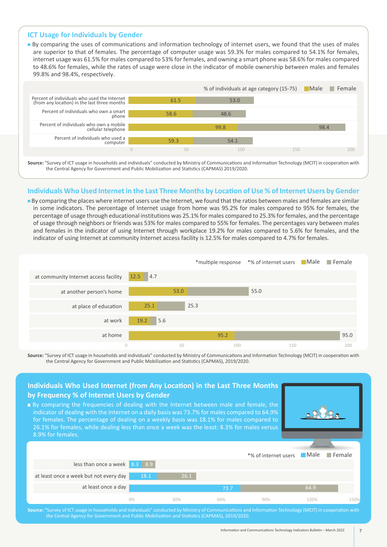#### **ICT Usage for Individuals by Gender**

**n** By comparing the uses of communications and information technology of internet users, we found that the uses of males are superior to that of females. The percentage of computer usage was 59.3% for males compared to 54.1% for females, internet usage was 61.5% for males compared to 53% for females, and owning a smart phone was 58.6% for males compared to 48.6% for females, while the rates of usage were close in the indicator of mobile ownership between males and females 99.8% and 98.4%, respectively.



Source: "Survey of ICT usage in households and individuals" conducted by Ministry of Communications and Information Technology (MCIT) in cooperation with the Central Agency for Government and Public Mobilization and Statistics (CAPMAS) 2019/2020.

#### Individuals Who Used Internet in the Last Three Months by Location of Use % of Internet Users by Gender

■ By comparing the places where internet users use the Internet, we found that the ratios between males and females are similar in some indicators. The percentage of Internet usage from home was 95.2% for males compared to 95% for females, the percentage of usage through educational institutions was 25.1% for males compared to 25.3% for females, and the percentage of usage through neighbors or friends was 53% for males compared to 55% for females. The percentages vary between males and females in the indicator of using Internet through workplace 19.2% for males compared to 5.6% for females, and the indicator of using Internet at community Internet access facility is 12.5% for males compared to 4.7% for females.

|                                       |             |      |      | *multiple response *% of internet users Male Female |      |
|---------------------------------------|-------------|------|------|-----------------------------------------------------|------|
| at community Internet access facility | 12.5<br>4.7 |      |      |                                                     |      |
| at another person's home              |             | 53.0 |      | 55.0                                                |      |
| at place of education                 | 25.1        | 25.3 |      |                                                     |      |
| at work                               | 19.2<br>5.6 |      |      |                                                     |      |
| at home                               |             |      | 95.2 |                                                     | 95.0 |
|                                       | $\theta$    | 50   | 100  | 150                                                 | 200  |

Source: "Survey of ICT usage in households and individuals" conducted by Ministry of Communications and Information Technology (MCIT) in cooperation with the Central Agency for Government and Public Mobilization and Statistics (CAPMAS), 2019/2020.

#### less than once a week at least once a week but not every day at least once a day 150% 90% 60% 30% 0% 8.9 8.3 \*% of internet users Male 120%  $\blacksquare$  Female **Individuals Who Used Internet (from Any Location) in the Last Three Months by Frequency % of Internet Users by Gender**  $\blacksquare$  By comparing the frequencies of dealing with the Internet between male and female, the indicator of dealing with the Internet on a daily basis was 73.7% for males compared to 64.9% for females. The percentage of dealing on a weekly basis was 18.1% for males compared to 26.1% for females, while dealing less than once a week was the least: 8.3% for males versus 8.9% for females.

Source: "Survey of ICT usage in households and individuals" conducted by Ministry of Communications and Information Technology (MCIT) in cooperation with the Central Agency for Government and Public Mobilization and Statistics (CAPMAS), 2019/2020.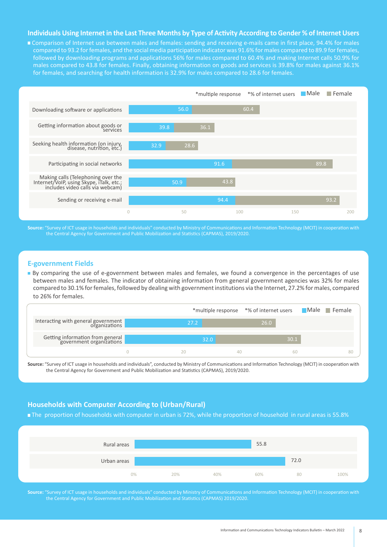#### **Individuals Using Internet in the Last Three Months by Type of Activity According to Gender % of Internet Users**

■ Comparison of Internet use between males and females: sending and receiving e-mails came in first place, 94.4% for males compared to 93.2 for females, and the social media participation indicator was 91.6% for males compared to 89.9 for females, followed by downloading programs and applications 56% for males compared to 60.4% and making Internet calls 50.9% for males compared to 43.8 for females. Finally, obtaining information on goods and services is 39.8% for males against 36.1% for females, and searching for health information is 32.9% for males compared to 28.6 for females.



Source: "Survey of ICT usage in households and individuals" conducted by Ministry of Communications and Information Technology (MCIT) in cooperation with the Central Agency for Government and Public Mobilization and Statistics (CAPMAS), 2019/2020.

#### **E-government Fields**

By comparing the use of e-government between males and females, we found a convergence in the percentages of use between males and females. The indicator of obtaining information from general government agencies was 32% for males compared to 30.1% for females, followed by dealing with government institutions via the Internet, 27.2% for males, compared to 26% for females.

|                                                              |                |      | *multiple response *% of internet users Male Female |    |
|--------------------------------------------------------------|----------------|------|-----------------------------------------------------|----|
| Interacting with general government                          | $27.2^{\circ}$ |      | 26.0                                                |    |
| Getting information from general<br>government organizations |                | 32.0 | 30.1                                                |    |
|                                                              |                |      | 60                                                  | 80 |

Source: "Survey of ICT usage in households and individuals", conducted by Ministry of Communications and Information Technology (MCIT) in cooperation with the Central Agency for Government and Public Mobilization and Statistics (CAPMAS), 2019/2020.

#### **Households with Computer According to (Urban/Rural)**

The proportion of households with computer in urban is 72%, while the proportion of household in rural areas is 55.8%



Source: "Survey of ICT usage in households and individuals" conducted by Ministry of Communications and Information Technology (MCIT) in cooperation with the Central Agency for Government and Public Mobilization and Statistics (CAPMAS) 2019/2020.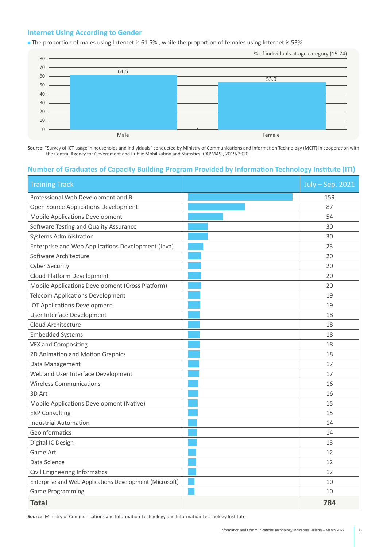#### **Internet Using According to Gender**

The proportion of males using Internet is 61.5%, while the proportion of females using Internet is 53%.



Source: "Survey of ICT usage in households and individuals" conducted by Ministry of Communications and Information Technology (MCIT) in cooperation with the Central Agency for Government and Public Mobilization and Statistics (CAPMAS), 2019/2020.

#### **Number of Graduates of Capacity Building Program Provided by Information Technology Institute (ITI)**

| <b>Training Track</b>                                   | July - Sep. 2021 |
|---------------------------------------------------------|------------------|
| Professional Web Development and BI                     | 159              |
| Open Source Applications Development                    | 87               |
| <b>Mobile Applications Development</b>                  | 54               |
| Software Testing and Quality Assurance                  | 30               |
| <b>Systems Administration</b>                           | 30               |
| Enterprise and Web Applications Development (Java)      | 23               |
| Software Architecture                                   | 20               |
| <b>Cyber Security</b>                                   | 20               |
| Cloud Platform Development                              | 20               |
| Mobile Applications Development (Cross Platform)        | 20               |
| <b>Telecom Applications Development</b>                 | 19               |
| <b>IOT Applications Development</b>                     | 19               |
| User Interface Development                              | 18               |
| Cloud Architecture                                      | 18               |
| <b>Embedded Systems</b>                                 | 18               |
| <b>VFX and Compositing</b>                              | 18               |
| 2D Animation and Motion Graphics                        | 18               |
| Data Management                                         | 17               |
| Web and User Interface Development                      | 17               |
| <b>Wireless Communications</b>                          | 16               |
| 3D Art                                                  | 16               |
| Mobile Applications Development (Native)                | 15               |
| <b>ERP Consulting</b>                                   | 15               |
| <b>Industrial Automation</b>                            | 14               |
| Geoinformatics                                          | 14               |
| Digital IC Design                                       | 13               |
| Game Art                                                | 12               |
| Data Science                                            | 12               |
| Civil Engineering Informatics                           | 12               |
| Enterprise and Web Applications Development (Microsoft) | 10               |
| <b>Game Programming</b>                                 | 10               |
| <b>Total</b>                                            | 784              |

Source: Ministry of Communications and Information Technology and Information Technology Institute